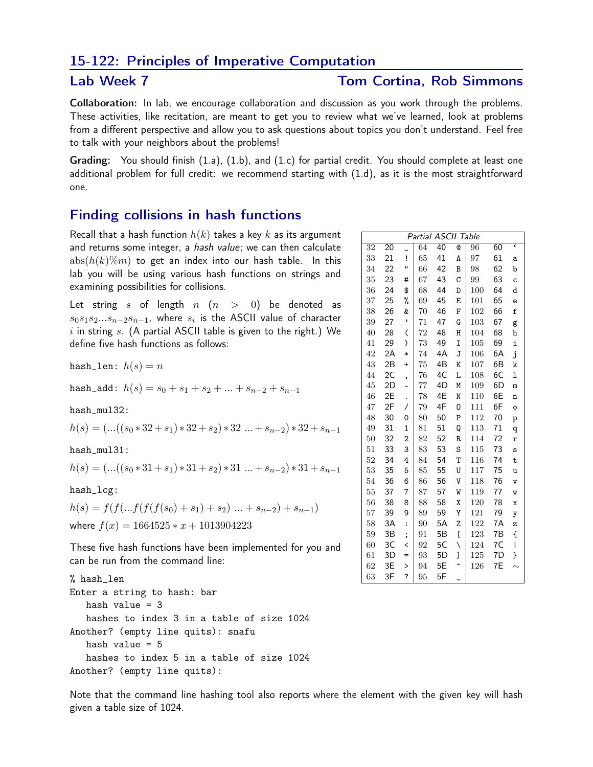## 15-122: Principles of Imperative Computation

## Lab Week 7 Tom Cortina, Rob Simmons

Collaboration: In lab, we encourage collaboration and discussion as you work through the problems. These activities, like recitation, are meant to get you to review what we've learned, look at problems from a different perspective and allow you to ask questions about topics you don't understand. Feel free to talk with your neighbors about the problems!

Grading: You should finish (1.a), (1.b), and (1.c) for partial credit. You should complete at least one additional problem for full credit: we recommend starting with (1.d), as it is the most straightforward one.

## Finding collisions in hash functions

Recall that a hash function  $h(k)$  takes a key k as its argument and returns some integer, a *hash value*; we can then calculate  $abs(h(k)\%m)$  to get an index into our hash table. In this lab you will be using various hash functions on strings and examining possibilities for collisions.

Let string s of length  $n (n > 0)$  be denoted as  $s_0s_1s_2...s_{n-2}s_{n-1}$ , where  $s_i$  is the ASCII value of character  $i$  in string  $s$ . (A partial ASCII table is given to the right.) We define five hash functions as follows:

hash\_len:  $h(s) = n$ 

hash\_add:  $h(s) = s_0 + s_1 + s_2 + ... + s_{n-2} + s_{n-1}$ 

hash\_mul32:

$$
h(s) = (...(s_0 * 32 + s_1) * 32 + s_2) * 32 ... + s_{n-2}) * 32 + s_{n-1}
$$

hash\_mul31:

$$
h(s) = (...(s_0 * 31 + s_1) * 31 + s_2) * 31 ... + s_{n-2}) * 31 + s_{n-1}
$$

hash\_lcg:

 $h(s) = f(f(...f(f(f(s_0)+s_1)+s_2)...+s_{n-2})+s_{n-1})$ where  $f(x) = 1664525 * x + 1013904223$ 

These five hash functions have been implemented for you and can be run from the command line:

% hash\_len Enter a string to hash: bar hash value  $=$  3 hashes to index 3 in a table of size 1024 Another? (empty line quits): snafu hash value  $= 5$ hashes to index 5 in a table of size 1024 Another? (empty line quits):

Note that the command line hashing tool also reports where the element with the given key will hash given a table size of 1024.

| Partial ASCII Table |    |                          |    |    |                |     |    |                         |
|---------------------|----|--------------------------|----|----|----------------|-----|----|-------------------------|
| 32                  | 20 |                          | 64 | 40 | Q              | 96  | 60 | $\overline{\epsilon}$   |
| 33                  | 21 | i                        | 65 | 41 | A              | 97  | 61 | а                       |
| 34                  | 22 | Ħ                        | 66 | 42 | В              | 98  | 62 | b                       |
| 35                  | 23 | #                        | 67 | 43 | C              | 99  | 63 | c                       |
| 36                  | 24 | \$                       | 68 | 44 | D              | 100 | 64 | d                       |
| 37                  | 25 | %                        | 69 | 45 | E              | 101 | 65 | e                       |
| 38                  | 26 | &                        | 70 | 46 | F              | 102 | 66 | £                       |
| 39                  | 27 | ,                        | 71 | 47 | G              | 103 | 67 | g                       |
| 40                  | 28 | $\overline{(\ }$         | 72 | 48 | Η              | 104 | 68 | h                       |
| 41                  | 29 | )                        | 73 | 49 | I              | 105 | 69 | i                       |
| 42                  | 2A | $\ast$                   | 74 | 4A | J              | 106 | 6A | j                       |
| 43                  | 2B | $\ddot{}$                | 75 | 4B | Κ              | 107 | 6B | k                       |
| 44                  | 2C | ,                        | 76 | 4C | L              | 108 | 6C | ı                       |
| 45                  | 2D | $\overline{a}$           | 77 | 4D | M              | 109 | 6D | m                       |
| 46                  | 2E |                          | 78 | 4E | N              | 110 | 6E | $\overline{\mathbf{n}}$ |
| 47                  | 2F | $\overline{1}$           | 79 | 4F | 0              | 111 | 6F | o                       |
| 48                  | 30 | 0                        | 80 | 50 | P              | 112 | 70 | p                       |
| 49                  | 31 | $\overline{1}$           | 81 | 51 | Q              | 113 | 71 | q                       |
| 50                  | 32 | $\overline{2}$           | 82 | 52 | R              | 114 | 72 | r                       |
| 51                  | 33 | 3                        | 83 | 53 | S              | 115 | 73 | s                       |
| 52                  | 34 | 4                        | 84 | 54 | T              | 116 | 74 | t                       |
| 53                  | 35 | 5                        | 85 | 55 | U              | 117 | 75 | u                       |
| 54                  | 36 | 6                        | 86 | 56 | V              | 118 | 76 | $\mathbf v$             |
| 55                  | 37 | 7                        | 87 | 57 | W              | 119 | 77 | M                       |
| 56                  | 38 | 8                        | 88 | 58 | χ              | 120 | 78 | x                       |
| 57                  | 39 | 9                        | 89 | 59 | Y              | 121 | 79 | y                       |
| 58                  | 3A | $\colon$                 | 90 | 5A | Z              | 122 | 7A | z                       |
| 59                  | 3B | ;                        | 91 | 5Β | E              | 123 | 7B | ſ                       |
| 60                  | 3C | $\overline{\phantom{a}}$ | 92 | 5C | ∖              | 124 | 7C | I                       |
| 61                  | 3D | $=$                      | 93 | 5D | 1              | 125 | 7D | }                       |
| 62                  | 3E | $\,>$                    | 94 | 5E | $\overline{ }$ | 126 | 7Ε |                         |
| 63                  | 3F | ?                        | 95 | 5F |                |     |    |                         |